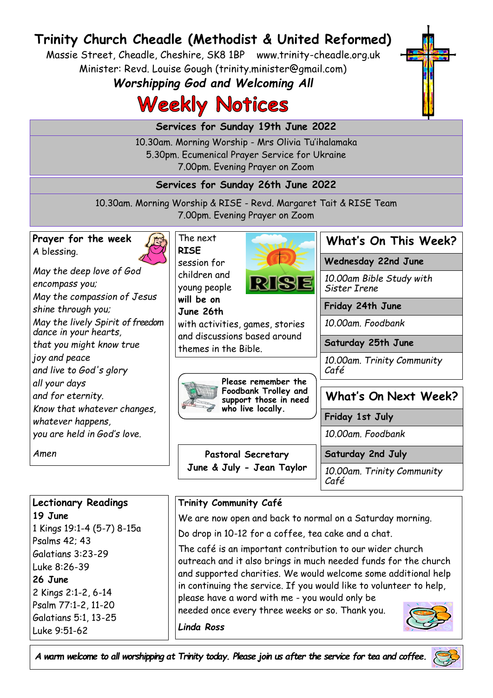# **Trinity Church Cheadle (Methodist & United Reformed)**

Massie Street, Cheadle, Cheshire, SK8 1BP www.trinity-cheadle.org.uk Minister: Revd. Louise Gough (trinity.minister@gmail.com)

*Worshipping God and Welcoming All*

# **Weekly Notices**

**Services for Sunday 19th June 2022** 

10.30am. Morning Worship - Mrs Olivia Tu'ihalamaka 5.30pm. Ecumenical Prayer Service for Ukraine 7.00pm. Evening Prayer on Zoom

**Services for Sunday 26th June 2022** 

10.30am. Morning Worship & RISE - Revd. Margaret Tait & RISE Team 7.00pm. Evening Prayer on Zoom

| Prayer for the week                                       | The next                                                                                  |                                    | What's On This Week?                     |
|-----------------------------------------------------------|-------------------------------------------------------------------------------------------|------------------------------------|------------------------------------------|
| A blessing.                                               | <b>RISE</b><br>session for<br>children and<br>young people                                | <b>RISE</b>                        | Wednesday 22nd June                      |
| May the deep love of God<br>encompass you;                |                                                                                           |                                    | 10.00am Bible Study with<br>Sister Irene |
| May the compassion of Jesus<br>shine through you;         | will be on<br>June 26th                                                                   |                                    | Friday 24th June                         |
| May the lively Spirit of freedom<br>dance in your hearts, | with activities, games, stories                                                           | 10.00am. Foodbank                  |                                          |
| that you might know true                                  | and discussions based around<br>themes in the Bible.                                      |                                    | Saturday 25th June                       |
| joy and peace<br>and live to God's glory                  |                                                                                           | 10.00am. Trinity Community<br>Café |                                          |
| all your days                                             | Please remember the<br>Foodbank Trolley and<br>support those in need<br>who live locally. |                                    |                                          |
| and for eternity.                                         |                                                                                           |                                    | What's On Next Week?                     |
| Know that whatever changes,<br>whatever happens,          |                                                                                           |                                    | Friday 1st July                          |
| you are held in God's love.                               |                                                                                           |                                    | 10.00am. Foodbank                        |
| Amen                                                      | Pastoral Secretary                                                                        |                                    | Saturday 2nd July                        |
|                                                           |                                                                                           | June & July - Jean Taylor          | 10.00am. Trinity Community<br>Café       |

#### **Trinity Community Café**

We are now open and back to normal on a Saturday morning.

Do drop in 10-12 for a coffee, tea cake and a chat.

The café is an important contribution to our wider church outreach and it also brings in much needed funds for the church and supported charities. We would welcome some additional help in continuing the service. If you would like to volunteer to help, please have a word with me - you would only be

needed once every three weeks or so. Thank you.

*Linda Ross*

**Lectionary Readings**

1 Kings 19:1-4 (5-7) 8-15a

**19 June** 

Psalms 42; 43 Galatians 3:23-29 Luke 8:26-39 **26 June** 

Luke 9:51-62

2 Kings 2:1-2, 6-14 Psalm 77:1-2, 11-20 Galatians 5:1, 13-25